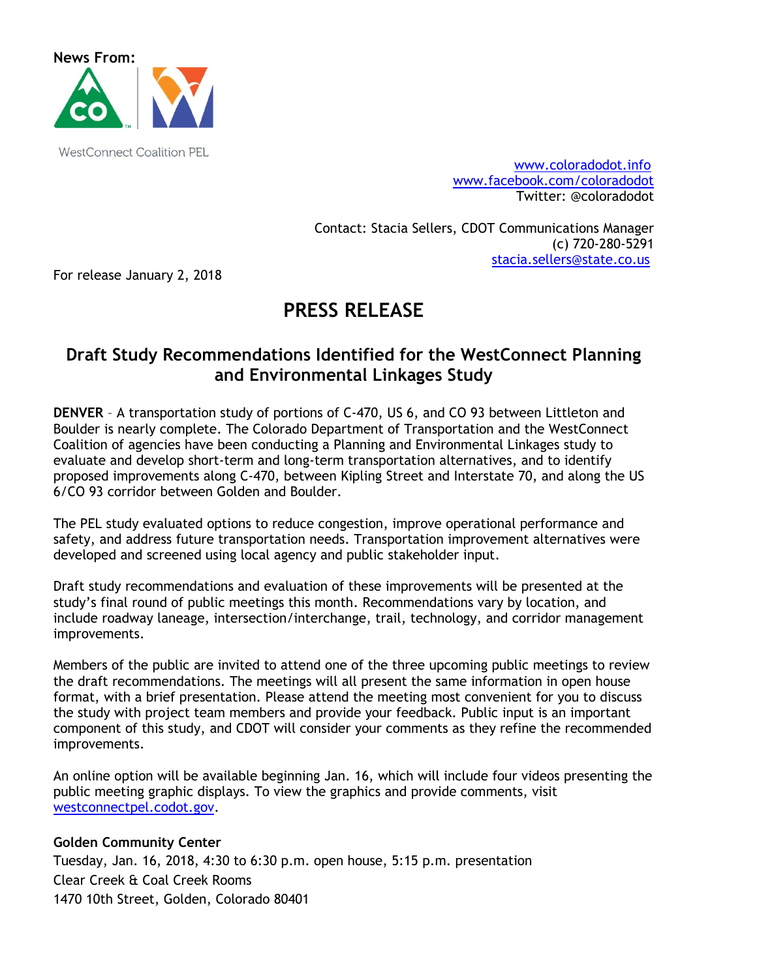

WestConnect Coalition PEL www.coloradodot.info www.facebook.com/coloradodot Twitter: @coloradodot

> Contact: Stacia Sellers, CDOT Communications Manager (c) 720-280-5291 stacia.sellers@state.co.us

For release January 2, 2018

# **PRESS RELEASE**

# **Draft Study Recommendations Identified for the WestConnect Planning and Environmental Linkages Study**

**DENVER** – A transportation study of portions of C-470, US 6, and CO 93 between Littleton and Boulder is nearly complete. The Colorado Department of Transportation and the WestConnect Coalition of agencies have been conducting a Planning and Environmental Linkages study to evaluate and develop short-term and long-term transportation alternatives, and to identify proposed improvements along C-470, between Kipling Street and Interstate 70, and along the US 6/CO 93 corridor between Golden and Boulder.

The PEL study evaluated options to reduce congestion, improve operational performance and safety, and address future transportation needs. Transportation improvement alternatives were developed and screened using local agency and public stakeholder input.

Draft study recommendations and evaluation of these improvements will be presented at the study's final round of public meetings this month. Recommendations vary by location, and include roadway laneage, intersection/interchange, trail, technology, and corridor management improvements.

Members of the public are invited to attend one of the three upcoming public meetings to review the draft recommendations. The meetings will all present the same information in open house format, with a brief presentation. Please attend the meeting most convenient for you to discuss the study with project team members and provide your feedback. Public input is an important component of this study, and CDOT will consider your comments as they refine the recommended improvements.

An online option will be available beginning Jan. 16, which will include four videos presenting the public meeting graphic displays. To view the graphics and provide comments, visit westconnectpel.codot.gov.

## **Golden Community Center**

Tuesday, Jan. 16, 2018, 4:30 to 6:30 p.m. open house, 5:15 p.m. presentation Clear Creek & Coal Creek Rooms 1470 10th Street, Golden, Colorado 80401